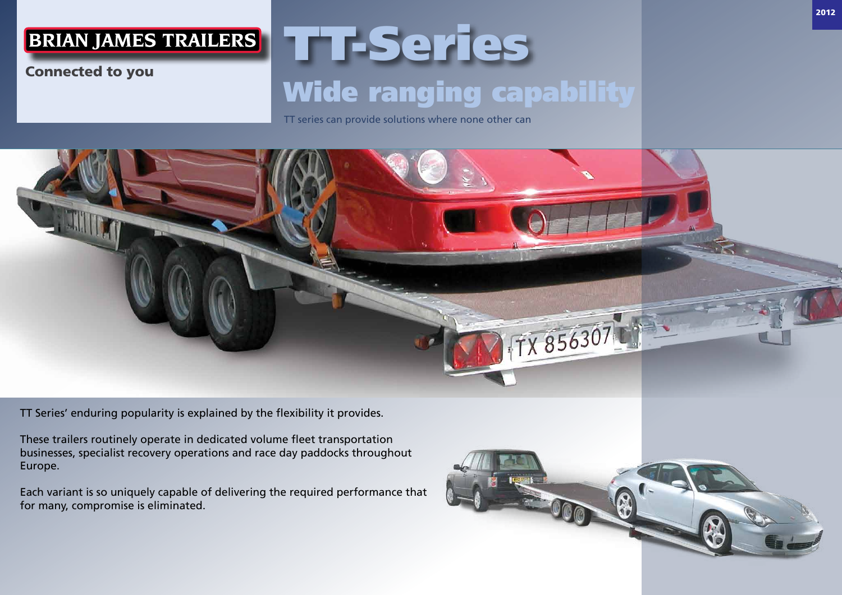### **BRIAN JAMES TRAILERS**

#### Connected to you

# TT-Series Wide ranging capability

TT series can provide solutions where none other can



TT Series' enduring popularity is explained by the flexibility it provides.

These trailers routinely operate in dedicated volume fleet transportation businesses, specialist recovery operations and race day paddocks throughout Europe.

Each variant is so uniquely capable of delivering the required performance that for many, compromise is eliminated.

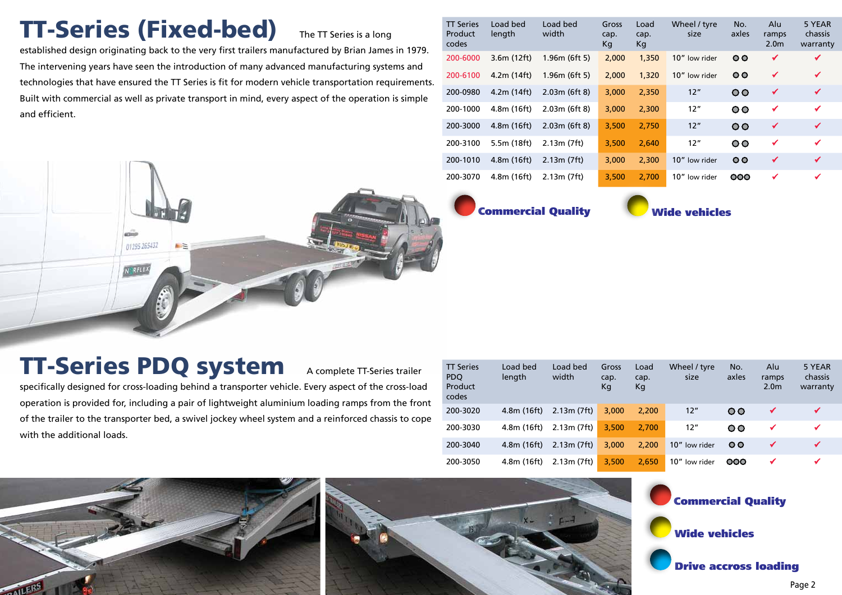# TT-Series (Fixed-bed) The TT Series is a long

established design originating back to the very first trailers manufactured by Brian James in 1979. The intervening years have seen the introduction of many advanced manufacturing systems and technologies that have ensured the TT Series is fit for modern vehicle transportation requirements. Built with commercial as well as private transport in mind, every aspect of the operation is simple and efficient.

| <b>TT Series</b><br>Product<br>codes | Load bed<br>length | Load bed<br>width | Gross<br>cap.<br>Kq | Load<br>cap.<br>Kg | Wheel / tyre<br>size | No.<br>axles | Alu<br>ramps<br>2.0 <sub>m</sub> | 5 YEAR<br>chassis<br>warranty |
|--------------------------------------|--------------------|-------------------|---------------------|--------------------|----------------------|--------------|----------------------------------|-------------------------------|
| 200-6000                             | 3.6m(12ft)         | 1.96m(6ft5)       | 2,000               | 1,350              | 10" low rider        | $\circ$      | $\checkmark$                     | ✔                             |
| 200-6100                             | 4.2m(14ft)         | 1.96m(6ft5)       | 2,000               | 1,320              | 10" low rider        | $\circ$      | $\checkmark$                     | $\checkmark$                  |
| 200-0980                             | 4.2m(14ft)         | 2.03m(6ft8)       | 3,000               | 2,350              | 12"                  | $\circ$      | ✔                                | ✔                             |
| 200-1000                             | 4.8m (16ft)        | 2.03m(6ft8)       | 3,000               | 2,300              | 12"                  | $\circ$      | ✔                                | ✔                             |
| 200-3000                             | 4.8m(16ft)         | 2.03m(6ft8)       | 3,500               | 2,750              | 12"                  | $\circ$      | $\checkmark$                     | ✔                             |
| 200-3100                             | 5.5m (18ft)        | 2.13m (7ft)       | 3,500               | 2.640              | 12"                  | $\circ$      | ✔                                | ✔                             |
| 200-1010                             | 4.8m(16ft)         | 2.13m (7ft)       | 3.000               | 2,300              | 10" low rider        | $\circ$      | $\checkmark$                     | $\checkmark$                  |
| 200-3070                             | 4.8m (16ft)        | 2.13m(7ft)        | 3,500               | 2.700              | 10" low rider        | 000          | ✔                                | ✔                             |

Commercial Quality Wide vehicles

# **TT-Series PDQ system** A complete TT-Series trailer

01295 265432

N RELEX

specifically designed for cross-loading behind a transporter vehicle. Every aspect of the cross-load operation is provided for, including a pair of lightweight aluminium loading ramps from the front of the trailer to the transporter bed, a swivel jockey wheel system and a reinforced chassis to cope with the additional loads.

| <b>TT Series</b><br>PDO<br>Product<br>codes | Load bed<br>length | Load bed<br>width | Gross<br>cap.<br>Кg | Load<br>cap.<br>Kg | Wheel / tyre<br>size | No.<br>axles | Alu<br>ramps<br>2.0 <sub>m</sub> | 5 YEAR<br>chassis<br>warranty |
|---------------------------------------------|--------------------|-------------------|---------------------|--------------------|----------------------|--------------|----------------------------------|-------------------------------|
| 200-3020                                    | 4.8m(16ft)         | 2.13m (7ft)       | 3.000               | 2.200              | 12"                  | $\circ$      | ✔                                |                               |
| 200-3030                                    | 4.8m (16ft)        | 2.13m (7ft)       | 3.500               | 2.700              | 12"                  | OO.          | ✔                                | ✔                             |
| 200-3040                                    | 4.8m (16ft)        | 2.13m (7ft)       | 3.000               | 2.200              | 10" low rider        | $\circ$      | ✔                                | $\checkmark$                  |
| 200-3050                                    | 4.8m (16ft)        | 2.13m (7ft)       | 3.500               | 2.650              | 10" low rider        | OOO          | ✔                                | ✔                             |

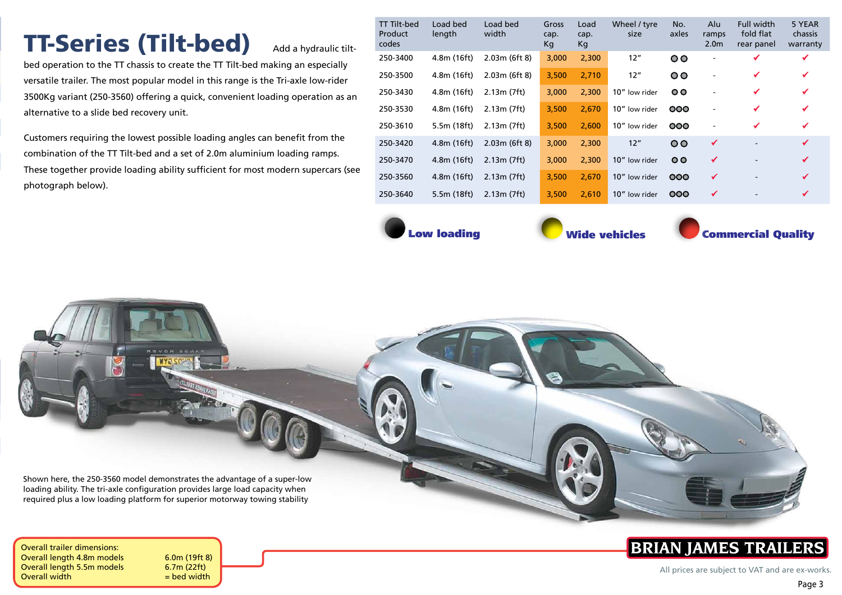# TT-Series (Tilt-bed) Add a hydraulic tilt-

bed operation to the TT chassis to create the TT Tilt-bed making an especially versatile trailer. The most popular model in this range is the Tri-axle low-rider 3500Kg variant (250-3560) offering a quick, convenient loading operation as an alternative to a slide bed recovery unit.

Customers requiring the lowest possible loading angles can benefit from the combination of the TT Tilt-bed and a set of 2.0m aluminium loading ramps. These together provide loading ability sufficient for most modern supercars (see photograph below).

| <b>TT Tilt-bed</b><br>Product<br>codes | Load bed<br>length | Load bed<br>width | Gross<br>cap.<br>Кg | Load<br>cap.<br>Kg | Wheel / tyre<br>size | No.<br>axles | Alu<br>ramps<br>2.0 <sub>m</sub> | <b>Full width</b><br>fold flat<br>rear panel | 5 YEAR<br>chassis<br>warranty |
|----------------------------------------|--------------------|-------------------|---------------------|--------------------|----------------------|--------------|----------------------------------|----------------------------------------------|-------------------------------|
| 250-3400                               | 4.8m (16ft)        | 2.03m(6ft8)       | 3,000               | 2,300              | 12"                  | $\circ$      |                                  | ✔                                            | ✔                             |
| 250-3500                               | 4.8m (16ft)        | 2.03m(6ft8)       | 3,500               | 2,710              | 12"                  | $\circ$      |                                  | ✔                                            | ✔                             |
| 250-3430                               | 4.8m (16ft)        | 2.13m (7ft)       | 3,000               | 2,300              | 10" low rider        | $\circ$      |                                  | ✔                                            | ✔                             |
| 250-3530                               | 4.8m (16ft)        | 2.13m (7ft)       | 3,500               | 2,670              | 10" low rider        | 000          |                                  | ✔                                            | ✔                             |
| 250-3610                               | 5.5m (18ft)        | 2.13m (7ft)       | 3,500               | 2.600              | 10" low rider        | 000          | $\overline{a}$                   | ✔                                            | ✔                             |
| 250-3420                               | 4.8m(16ft)         | 2.03m(6ft8)       | 3,000               | 2,300              | 12"                  | $\circ$      | ✔                                |                                              | ✔                             |
| 250-3470                               | 4.8m (16ft)        | 2.13m(7ft)        | 3,000               | 2,300              | 10" low rider        | $\circ$      | ✔                                |                                              | ✔                             |
| 250-3560                               | 4.8m(16ft)         | 2.13m(7ft)        | 3,500               | 2,670              | 10" low rider        | 000          | ✔                                | $\overline{\phantom{a}}$                     | ✔                             |
| 250-3640                               | 5.5m (18ft)        | 2.13m (7ft)       | 3,500               | 2,610              | 10" low rider        | 000          | ✔                                |                                              | ✔                             |
|                                        |                    |                   |                     |                    |                      |              |                                  |                                              |                               |

Low loading **Commercial Quality** Wide vehicles **Commercial Quality** 

Shown here, the 250-3560 model demonstrates the advantage of a super-low loading ability. The tri-axle configuration provides large load capacity when required plus a low loading platform for superior motorway towing stability



## **BRIAN JAMES TRAILERS**

All prices are subject to VAT and are ex-works.